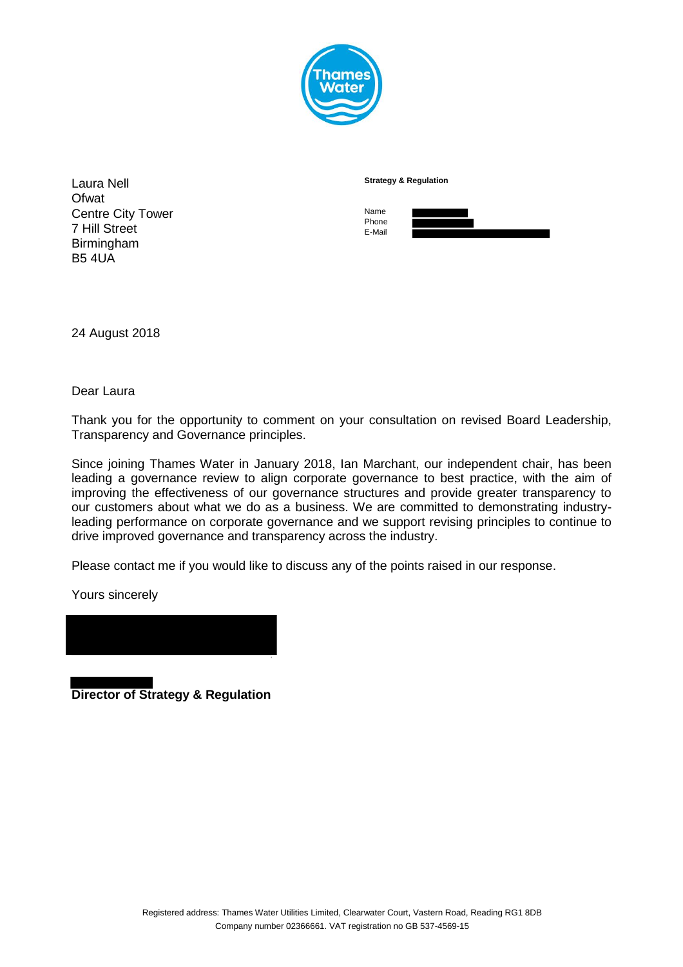

| Laura Nell                                | <b>Strategy &amp; Regulation</b> |
|-------------------------------------------|----------------------------------|
| Ofwat                                     |                                  |
| <b>Centre City Tower</b><br>7 Hill Street | Name<br>Phone<br>E-Mail          |
| Birmingham                                |                                  |
| <b>B5 4UA</b>                             |                                  |

24 August 2018

Dear Laura

Thank you for the opportunity to comment on your consultation on revised Board Leadership, Transparency and Governance principles.

Since joining Thames Water in January 2018, Ian Marchant, our independent chair, has been leading a governance review to align corporate governance to best practice, with the aim of improving the effectiveness of our governance structures and provide greater transparency to our customers about what we do as a business. We are committed to demonstrating industryleading performance on corporate governance and we support revising principles to continue to drive improved governance and transparency across the industry.

Please contact me if you would like to discuss any of the points raised in our response.

Yours sincerely

**Director of Strategy & Regulation**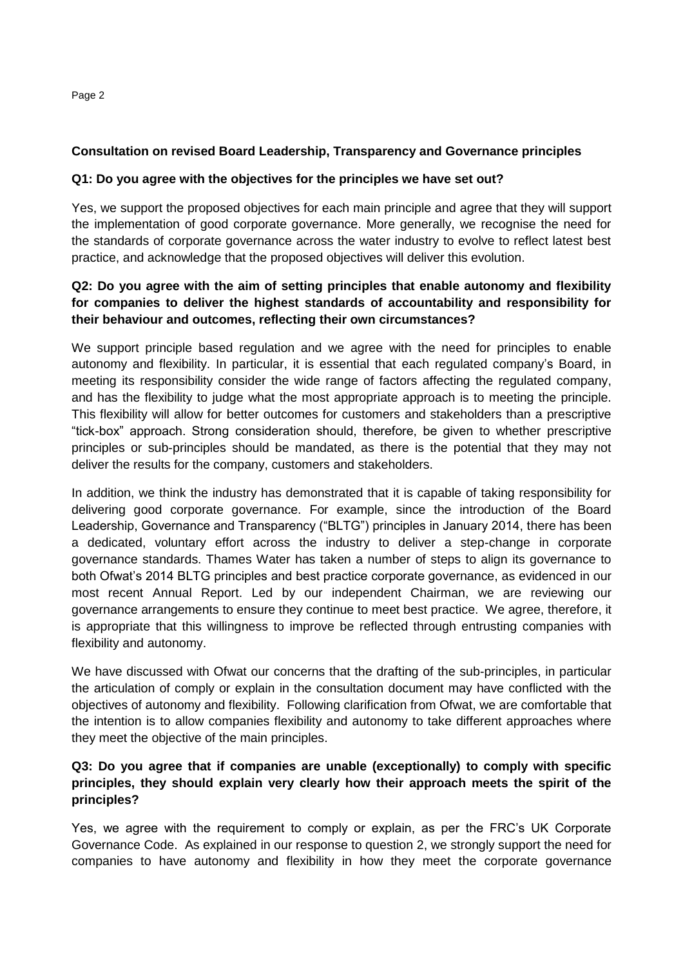# **Consultation on revised Board Leadership, Transparency and Governance principles**

#### **Q1: Do you agree with the objectives for the principles we have set out?**

Yes, we support the proposed objectives for each main principle and agree that they will support the implementation of good corporate governance. More generally, we recognise the need for the standards of corporate governance across the water industry to evolve to reflect latest best practice, and acknowledge that the proposed objectives will deliver this evolution.

### **Q2: Do you agree with the aim of setting principles that enable autonomy and flexibility for companies to deliver the highest standards of accountability and responsibility for their behaviour and outcomes, reflecting their own circumstances?**

We support principle based regulation and we agree with the need for principles to enable autonomy and flexibility. In particular, it is essential that each regulated company's Board, in meeting its responsibility consider the wide range of factors affecting the regulated company, and has the flexibility to judge what the most appropriate approach is to meeting the principle. This flexibility will allow for better outcomes for customers and stakeholders than a prescriptive "tick-box" approach. Strong consideration should, therefore, be given to whether prescriptive principles or sub-principles should be mandated, as there is the potential that they may not deliver the results for the company, customers and stakeholders.

In addition, we think the industry has demonstrated that it is capable of taking responsibility for delivering good corporate governance. For example, since the introduction of the Board Leadership, Governance and Transparency ("BLTG") principles in January 2014, there has been a dedicated, voluntary effort across the industry to deliver a step-change in corporate governance standards. Thames Water has taken a number of steps to align its governance to both Ofwat's 2014 BLTG principles and best practice corporate governance, as evidenced in our most recent Annual Report. Led by our independent Chairman, we are reviewing our governance arrangements to ensure they continue to meet best practice. We agree, therefore, it is appropriate that this willingness to improve be reflected through entrusting companies with flexibility and autonomy.

We have discussed with Ofwat our concerns that the drafting of the sub-principles, in particular the articulation of comply or explain in the consultation document may have conflicted with the objectives of autonomy and flexibility. Following clarification from Ofwat, we are comfortable that the intention is to allow companies flexibility and autonomy to take different approaches where they meet the objective of the main principles.

#### **Q3: Do you agree that if companies are unable (exceptionally) to comply with specific principles, they should explain very clearly how their approach meets the spirit of the principles?**

Yes, we agree with the requirement to comply or explain, as per the FRC's UK Corporate Governance Code. As explained in our response to question 2, we strongly support the need for companies to have autonomy and flexibility in how they meet the corporate governance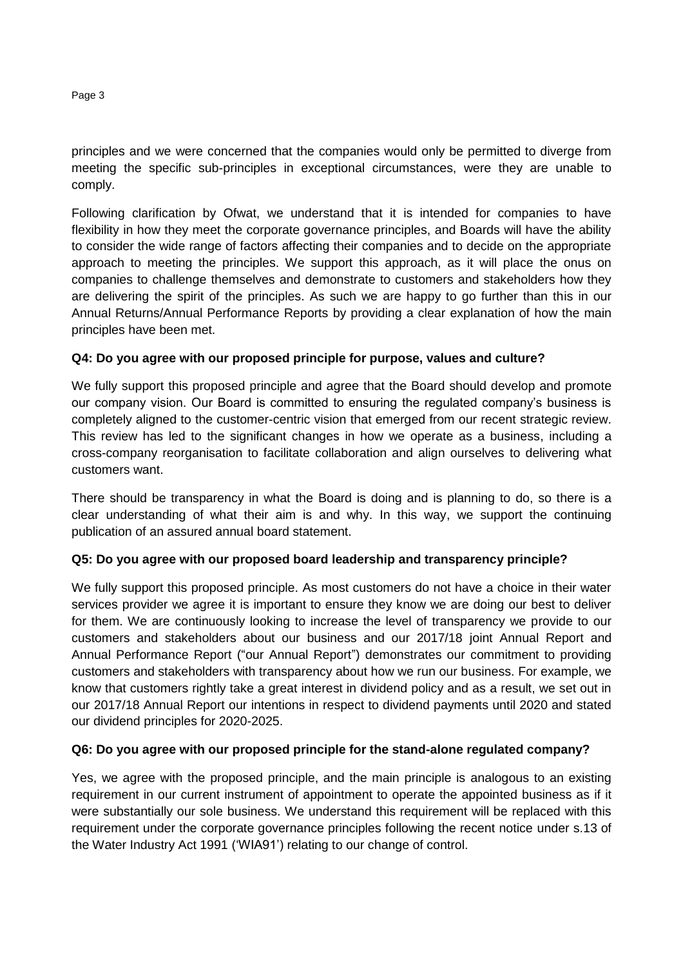principles and we were concerned that the companies would only be permitted to diverge from meeting the specific sub-principles in exceptional circumstances, were they are unable to comply.

Following clarification by Ofwat, we understand that it is intended for companies to have flexibility in how they meet the corporate governance principles, and Boards will have the ability to consider the wide range of factors affecting their companies and to decide on the appropriate approach to meeting the principles. We support this approach, as it will place the onus on companies to challenge themselves and demonstrate to customers and stakeholders how they are delivering the spirit of the principles. As such we are happy to go further than this in our Annual Returns/Annual Performance Reports by providing a clear explanation of how the main principles have been met.

# **Q4: Do you agree with our proposed principle for purpose, values and culture?**

We fully support this proposed principle and agree that the Board should develop and promote our company vision. Our Board is committed to ensuring the regulated company's business is completely aligned to the customer-centric vision that emerged from our recent strategic review. This review has led to the significant changes in how we operate as a business, including a cross-company reorganisation to facilitate collaboration and align ourselves to delivering what customers want.

There should be transparency in what the Board is doing and is planning to do, so there is a clear understanding of what their aim is and why. In this way, we support the continuing publication of an assured annual board statement.

# **Q5: Do you agree with our proposed board leadership and transparency principle?**

We fully support this proposed principle. As most customers do not have a choice in their water services provider we agree it is important to ensure they know we are doing our best to deliver for them. We are continuously looking to increase the level of transparency we provide to our customers and stakeholders about our business and our 2017/18 joint Annual Report and Annual Performance Report ("our Annual Report") demonstrates our commitment to providing customers and stakeholders with transparency about how we run our business. For example, we know that customers rightly take a great interest in dividend policy and as a result, we set out in our 2017/18 Annual Report our intentions in respect to dividend payments until 2020 and stated our dividend principles for 2020-2025.

# **Q6: Do you agree with our proposed principle for the stand-alone regulated company?**

Yes, we agree with the proposed principle, and the main principle is analogous to an existing requirement in our current instrument of appointment to operate the appointed business as if it were substantially our sole business. We understand this requirement will be replaced with this requirement under the corporate governance principles following the recent notice under s.13 of the Water Industry Act 1991 ('WIA91') relating to our change of control.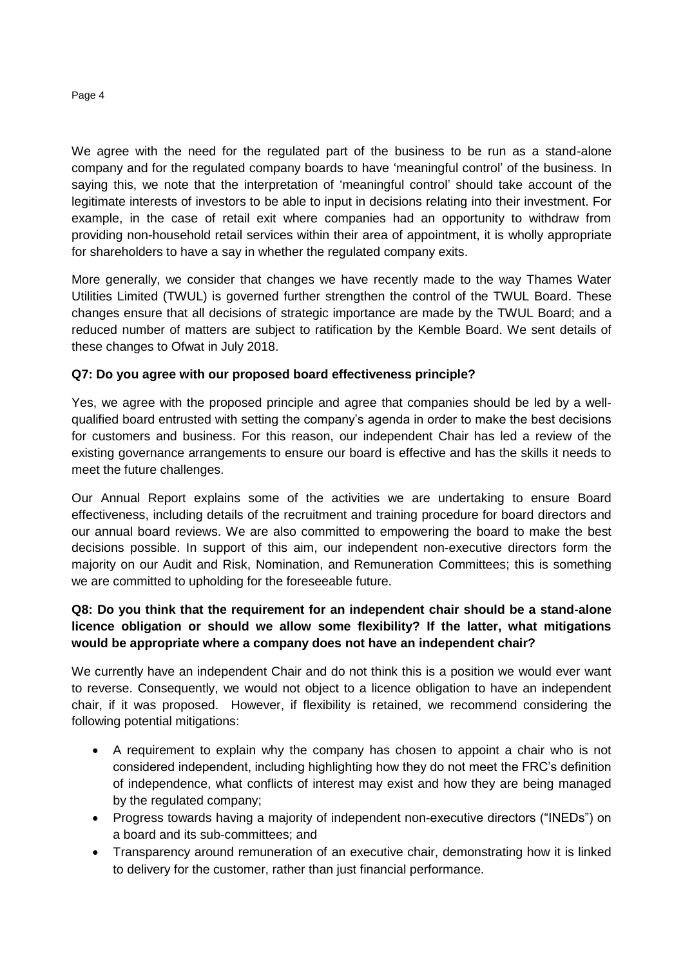We agree with the need for the regulated part of the business to be run as a stand-alone company and for the regulated company boards to have 'meaningful control' of the business. In saying this, we note that the interpretation of 'meaningful control' should take account of the legitimate interests of investors to be able to input in decisions relating into their investment. For example, in the case of retail exit where companies had an opportunity to withdraw from providing non-household retail services within their area of appointment, it is wholly appropriate for shareholders to have a say in whether the regulated company exits.

More generally, we consider that changes we have recently made to the way Thames Water Utilities Limited (TWUL) is governed further strengthen the control of the TWUL Board. These changes ensure that all decisions of strategic importance are made by the TWUL Board; and a reduced number of matters are subject to ratification by the Kemble Board. We sent details of these changes to Ofwat in July 2018.

### **Q7: Do you agree with our proposed board effectiveness principle?**

Yes, we agree with the proposed principle and agree that companies should be led by a wellqualified board entrusted with setting the company's agenda in order to make the best decisions for customers and business. For this reason, our independent Chair has led a review of the existing governance arrangements to ensure our board is effective and has the skills it needs to meet the future challenges.

Our Annual Report explains some of the activities we are undertaking to ensure Board effectiveness, including details of the recruitment and training procedure for board directors and our annual board reviews. We are also committed to empowering the board to make the best decisions possible. In support of this aim, our independent non-executive directors form the majority on our Audit and Risk, Nomination, and Remuneration Committees; this is something we are committed to upholding for the foreseeable future.

### **Q8: Do you think that the requirement for an independent chair should be a stand-alone licence obligation or should we allow some flexibility? If the latter, what mitigations would be appropriate where a company does not have an independent chair?**

We currently have an independent Chair and do not think this is a position we would ever want to reverse. Consequently, we would not object to a licence obligation to have an independent chair, if it was proposed. However, if flexibility is retained, we recommend considering the following potential mitigations:

- A requirement to explain why the company has chosen to appoint a chair who is not considered independent, including highlighting how they do not meet the FRC's definition of independence, what conflicts of interest may exist and how they are being managed by the regulated company;
- Progress towards having a majority of independent non-executive directors ("INEDs") on a board and its sub-committees; and
- Transparency around remuneration of an executive chair, demonstrating how it is linked to delivery for the customer, rather than just financial performance.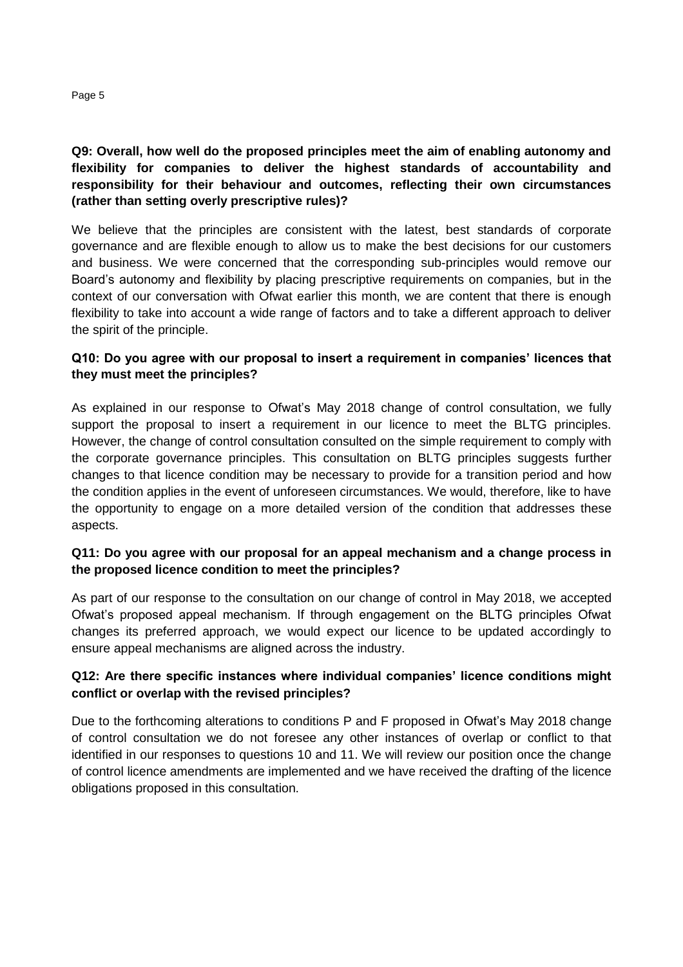## **Q9: Overall, how well do the proposed principles meet the aim of enabling autonomy and flexibility for companies to deliver the highest standards of accountability and responsibility for their behaviour and outcomes, reflecting their own circumstances (rather than setting overly prescriptive rules)?**

We believe that the principles are consistent with the latest, best standards of corporate governance and are flexible enough to allow us to make the best decisions for our customers and business. We were concerned that the corresponding sub-principles would remove our Board's autonomy and flexibility by placing prescriptive requirements on companies, but in the context of our conversation with Ofwat earlier this month, we are content that there is enough flexibility to take into account a wide range of factors and to take a different approach to deliver the spirit of the principle.

## **Q10: Do you agree with our proposal to insert a requirement in companies' licences that they must meet the principles?**

As explained in our response to Ofwat's May 2018 change of control consultation, we fully support the proposal to insert a requirement in our licence to meet the BLTG principles. However, the change of control consultation consulted on the simple requirement to comply with the corporate governance principles. This consultation on BLTG principles suggests further changes to that licence condition may be necessary to provide for a transition period and how the condition applies in the event of unforeseen circumstances. We would, therefore, like to have the opportunity to engage on a more detailed version of the condition that addresses these aspects.

# **Q11: Do you agree with our proposal for an appeal mechanism and a change process in the proposed licence condition to meet the principles?**

As part of our response to the consultation on our change of control in May 2018, we accepted Ofwat's proposed appeal mechanism. If through engagement on the BLTG principles Ofwat changes its preferred approach, we would expect our licence to be updated accordingly to ensure appeal mechanisms are aligned across the industry.

### **Q12: Are there specific instances where individual companies' licence conditions might conflict or overlap with the revised principles?**

Due to the forthcoming alterations to conditions P and F proposed in Ofwat's May 2018 change of control consultation we do not foresee any other instances of overlap or conflict to that identified in our responses to questions 10 and 11. We will review our position once the change of control licence amendments are implemented and we have received the drafting of the licence obligations proposed in this consultation.